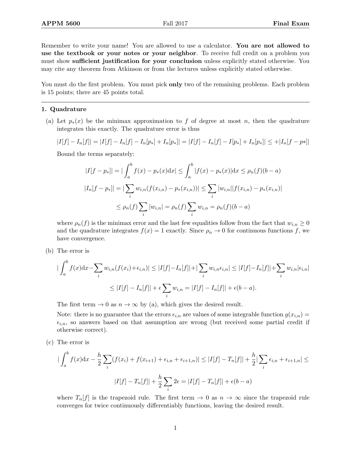Remember to write your name! You are allowed to use a calculator. You are not allowed to use the textbook or your notes or your neighbor. To receive full credit on a problem you must show sufficient justification for your conclusion unless explicitly stated otherwise. You may cite any theorem from Atkinson or from the lectures unless explicitly stated otherwise.

You must do the first problem. You must pick **only** two of the remaining problems. Each problem is 15 points; there are 45 points total.

## 1. Quadrature

(a) Let  $p_*(x)$  be the minimax approximation to f of degree at most n, then the quadrature integrates this exactly. The quadrature error is thus

$$
|I[f] - I_n[f]| = |I[f] - I_n[f] - I_n[p_*] + I_n[p_*]| = |I[f] - I_n[f] - I[p_*] + I_n[p_*]| \leq +|I_n[f - p*]|
$$

Bound the terms separately:

$$
|I[f - p_*]| = |\int_a^b f(x) - p_*(x)dx| \le \int_a^b |f(x) - p_*(x)|dx \le \rho_n(f)(b - a)
$$
  

$$
|I_n[f - p_*]| = |\sum_i w_{i,n}(f(x_{i,n}) - p_*(x_{i,n}))| \le \sum_i |w_{i,n}||f(x_{i,n}) - p_*(x_{i,n})|
$$
  

$$
\le \rho_n(f) \sum_i |w_{i,n}| = \rho_n(f) \sum_i w_{i,n} = \rho_n(f)(b - a)
$$

where  $\rho_n(f)$  is the minimax error and the last few equalities follow from the fact that  $w_{i,n} \geq 0$ and the quadrature integrates  $f(x) = 1$  exactly. Since  $\rho_n \to 0$  for continuous functions f, we have convergence.

(b) The error is

$$
\left| \int_{a}^{b} f(x) dx - \sum_{i} w_{i,n}(f(x_{i}) + \epsilon_{i,n}) \right| \leq |I[f] - I_{n}[f]| + \sum_{i} w_{i,n} \epsilon_{i,n}| \leq |I[f] - I_{n}[f]| + \sum_{i} w_{i,n} |\epsilon_{i,n}|
$$
  

$$
\leq |I[f] - I_{n}[f]| + \epsilon \sum_{i} w_{i,n} = |I[f] - I_{n}[f]| + \epsilon(b-a).
$$

The first term  $\rightarrow 0$  as  $n \rightarrow \infty$  by (a), which gives the desired result.

Note: there is no guarantee that the errors  $\epsilon_{i,n}$  are values of some integrable function  $g(x_{i,n}) =$  $\epsilon_{i,n}$ , so answers based on that assumption are wrong (but received some partial credit if otherwise correct).

(c) The error is

$$
\left| \int_{a}^{b} f(x) dx - \frac{h}{2} \sum_{i} (f(x_{i}) + f(x_{i+1}) + \epsilon_{i,n} + \epsilon_{i+1,n}) \right| \leq |I[f] - T_{n}[f]| + \frac{h}{2} |\sum_{i} \epsilon_{i,n} + \epsilon_{i+1,n}| \leq |I[f] - T_{n}[f]| + \frac{h}{2} \sum_{i} 2\epsilon = |I[f] - T_{n}[f]| + \epsilon(b-a)
$$

where  $T_n[f]$  is the trapezoid rule. The first term  $\rightarrow 0$  as  $n \rightarrow \infty$  since the trapezoid rule converges for twice continuously differentiably functions, leaving the desired result.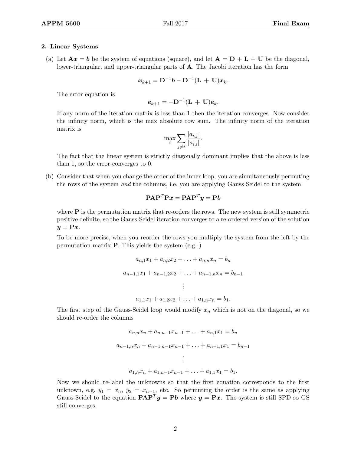## 2. Linear Systems

(a) Let  $\mathbf{A}x = \mathbf{b}$  be the system of equations (square), and let  $\mathbf{A} = \mathbf{D} + \mathbf{L} + \mathbf{U}$  be the diagonal, lower-triangular, and upper-triangular parts of A. The Jacobi iteration has the form

$$
\boldsymbol{x}_{k+1} = \mathbf{D}^{-1}\boldsymbol{b} - \mathbf{D}^{-1}(\mathbf{L} + \mathbf{U})\boldsymbol{x}_k.
$$

The error equation is

$$
\boldsymbol{e}_{k+1} = -\mathbf{D}^{-1}(\mathbf{L} + \mathbf{U})\boldsymbol{e}_k.
$$

If any norm of the iteration matrix is less than 1 then the iteration converges. Now consider the infinity norm, which is the max absolute row sum. The infinity norm of the iteration matrix is

$$
\max_{i} \sum_{j \neq i} \frac{|a_{i,j}|}{|a_{i,i}|}.
$$

The fact that the linear system is strictly diagonally dominant implies that the above is less than 1, so the error converges to 0.

(b) Consider that when you change the order of the inner loop, you are simultaneously permuting the rows of the system *and* the columns, i.e. you are applying Gauss-Seidel to the system

$$
\mathbf{P}\mathbf{A}\mathbf{P}^T\mathbf{P}\mathbf{x} = \mathbf{P}\mathbf{A}\mathbf{P}^T\mathbf{y} = \mathbf{P}\mathbf{b}
$$

where  $P$  is the permutation matrix that re-orders the rows. The new system is still symmetric positive definite, so the Gauss-Seidel iteration converges to a re-ordered version of the solution  $y = \mathbf{P}x$ .

To be more precise, when you reorder the rows you multiply the system from the left by the permutation matrix P. This yields the system (e.g. )

$$
a_{n,1}x_1 + a_{n,2}x_2 + \ldots + a_{n,n}x_n = b_n
$$
  
\n
$$
a_{n-1,1}x_1 + a_{n-1,2}x_2 + \ldots + a_{n-1,n}x_n = b_{n-1}
$$
  
\n
$$
\vdots
$$
  
\n
$$
a_{1,1}x_1 + a_{1,2}x_2 + \ldots + a_{1,n}x_n = b_1.
$$

The first step of the Gauss-Seidel loop would modify  $x_n$  which is not on the diagonal, so we should re-order the columns

$$
a_{n,n}x_n + a_{n,n-1}x_{n-1} + \ldots + a_{n,1}x_1 = b_n
$$
  
\n
$$
a_{n-1,n}x_n + a_{n-1,n-1}x_{n-1} + \ldots + a_{n-1,1}x_1 = b_{n-1}
$$
  
\n
$$
\vdots
$$
  
\n
$$
a_{1,n}x_n + a_{1,n-1}x_{n-1} + \ldots + a_{1,1}x_1 = b_1.
$$

Now we should re-label the unknowns so that the first equation corresponds to the first unknown, e.g.  $y_1 = x_n$ ,  $y_2 = x_{n-1}$ , etc. So permuting the order is the same as applying Gauss-Seidel to the equation  $\mathbf{PAP}^T y = \mathbf{Pb}$  where  $y = \mathbf{P}x$ . The system is still SPD so GS still converges.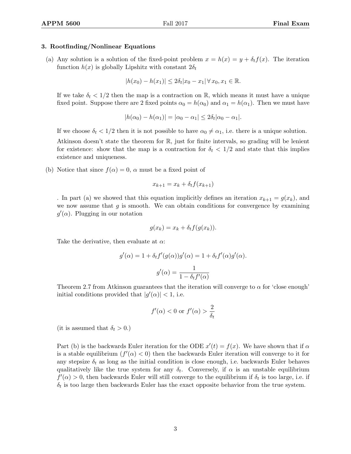## 3. Rootfinding/Nonlinear Equations

(a) Any solution is a solution of the fixed-point problem  $x = h(x) = y + \delta_t f(x)$ . The iteration function  $h(x)$  is globally Lipshitz with constant  $2\delta_t$ 

$$
|h(x_0) - h(x_1)| \le 2\delta_t |x_0 - x_1| \,\forall \, x_0, x_1 \in \mathbb{R}.
$$

If we take  $\delta_t < 1/2$  then the map is a contraction on R, which means it must have a unique fixed point. Suppose there are 2 fixed points  $\alpha_0 = h(\alpha_0)$  and  $\alpha_1 = h(\alpha_1)$ . Then we must have

$$
|h(\alpha_0) - h(\alpha_1)| = |\alpha_0 - \alpha_1| \le 2\delta_t |\alpha_0 - \alpha_1|.
$$

If we choose  $\delta_t < 1/2$  then it is not possible to have  $\alpha_0 \neq \alpha_1$ , i.e. there is a unique solution.

Atkinson doesn't state the theorem for R, just for finite intervals, so grading will be lenient for existence: show that the map is a contraction for  $\delta_t < 1/2$  and state that this implies existence and uniqueness.

(b) Notice that since  $f(\alpha) = 0$ ,  $\alpha$  must be a fixed point of

$$
x_{k+1} = x_k + \delta_t f(x_{k+1})
$$

. In part (a) we showed that this equation implicitly defines an iteration  $x_{k+1} = g(x_k)$ , and we now assume that  $g$  is smooth. We can obtain conditions for convergence by examining  $g'(\alpha)$ . Plugging in our notation

$$
g(x_k) = x_k + \delta_t f(g(x_k)).
$$

Take the derivative, then evaluate at  $\alpha$ :

$$
g'(\alpha) = 1 + \delta_t f'(g(\alpha))g'(\alpha) = 1 + \delta_t f'(\alpha)g'(\alpha).
$$

$$
g'(\alpha) = \frac{1}{1 - \delta_t f'(\alpha)}
$$

Theorem 2.7 from Atkinson guarantees that the iteration will converge to  $\alpha$  for 'close enough' initial conditions provided that  $|g'(\alpha)| < 1$ , i.e.

$$
f'(\alpha) < 0 \text{ or } f'(\alpha) > \frac{2}{\delta_t}
$$

(it is assumed that  $\delta_t > 0$ .)

Part (b) is the backwards Euler iteration for the ODE  $x'(t) = f(x)$ . We have shown that if  $\alpha$ is a stable equilibrium  $(f'(\alpha) < 0)$  then the backwards Euler iteration will converge to it for any stepsize  $\delta_t$  as long as the initial condition is close enough, i.e. backwards Euler behaves qualitatively like the true system for any  $\delta_t$ . Conversely, if  $\alpha$  is an unstable equilibrium  $f'(\alpha) > 0$ , then backwards Euler will still converge to the equilibrium if  $\delta_t$  is too large, i.e. if  $\delta_t$  is too large then backwards Euler has the exact opposite behavior from the true system.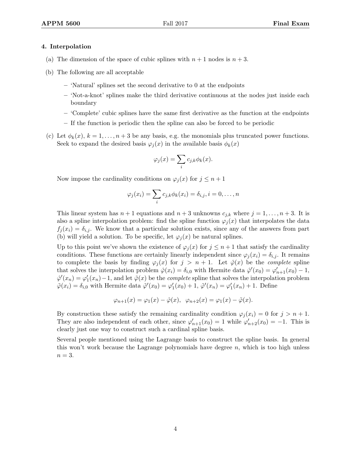## 4. Interpolation

- (a) The dimension of the space of cubic splines with  $n + 1$  nodes is  $n + 3$ .
- (b) The following are all acceptable
	- 'Natural' splines set the second derivative to 0 at the endpoints
	- 'Not-a-knot' splines make the third derivative continuous at the nodes just inside each boundary
	- 'Complete' cubic splines have the same first derivative as the function at the endpoints
	- If the function is periodic then the spline can also be forced to be periodic
- (c) Let  $\phi_k(x)$ ,  $k = 1, \ldots, n+3$  be any basis, e.g. the monomials plus truncated power functions. Seek to expand the desired basis  $\varphi_i(x)$  in the available basis  $\phi_k(x)$

$$
\varphi_j(x) = \sum_i c_{j,k} \phi_k(x).
$$

Now impose the cardinality conditions on  $\varphi_i(x)$  for  $j \leq n+1$ 

$$
\varphi_j(x_i) = \sum_i c_{j,k} \phi_k(x_i) = \delta_{i,j}, i = 0, \dots, n
$$

This linear system has  $n + 1$  equations and  $n + 3$  unknowns  $c_{j,k}$  where  $j = 1, \ldots, n + 3$ . It is also a spline interpolation problem: find the spline function  $\varphi_i(x)$  that interpolates the data  $f_j(x_i) = \delta_{i,j}$ . We know that a particular solution exists, since any of the answers from part (b) will yield a solution. To be specific, let  $\varphi_i(x)$  be natural splines.

Up to this point we've shown the existence of  $\varphi_i(x)$  for  $j \leq n+1$  that satisfy the cardinality conditions. These functions are certainly linearly independent since  $\varphi_i(x_i) = \delta_{i,j}$ . It remains to complete the basis by finding  $\varphi_j(x)$  for  $j > n + 1$ . Let  $\hat{\varphi}(x)$  be the *complete* spline that solves the interpolation problem  $\hat{\varphi}(x_i) = \delta_{i,0}$  with Hermite data  $\hat{\varphi}'(x_0) = \varphi'_{n+1}(x_0) - 1$ ,  $\hat{\varphi}'(x_n) = \varphi'_1(x_n) - 1$ , and let  $\tilde{\varphi}(x)$  be the *complete* spline that solves the interpolation problem  $\tilde{\varphi}(x_i) = \delta_{i,0}$  with Hermite data  $\tilde{\varphi}'(x_0) = \varphi'_1(x_0) + 1$ ,  $\tilde{\varphi}'(x_n) = \varphi'_1(x_n) + 1$ . Define

$$
\varphi_{n+1}(x) = \varphi_1(x) - \hat{\varphi}(x), \ \ \varphi_{n+2}(x) = \varphi_1(x) - \tilde{\varphi}(x).
$$

By construction these satisfy the remaining cardinality condition  $\varphi_i(x_i) = 0$  for  $j > n + 1$ . They are also independent of each other, since  $\varphi'_{n+1}(x_0) = 1$  while  $\varphi'_{n+2}(x_0) = -1$ . This is clearly just one way to construct such a cardinal spline basis.

Several people mentioned using the Lagrange basis to construct the spline basis. In general this won't work because the Lagrange polynomials have degree  $n$ , which is too high unless  $n=3$ .